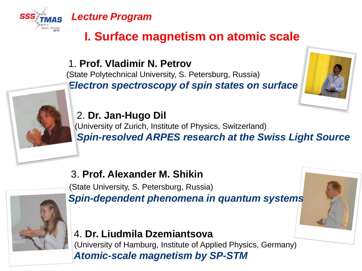

# **I. Surface magnetism on atomic scale**

1. **Prof. Vladimir N. Petrov** (State Polytechnical University, S. Petersburg, Russia)

*Electron spectroscopy of spin states on surface*



2. **Dr. Jan-Hugo Dil** (University of Zurich, Institute of Physics, Switzerland) *Spin-resolved ARPES research at the Swiss Light Source*

### 3. **Prof. Alexander M. Shikin**

(State University, S. Petersburg, Russia) *Spin-dependent phenomena in quantum systems*

### 4. **Dr. Liudmila Dzemiantsova**

(University of Hamburg, Institute of Applied Physics, Germany) *Atomic-scale magnetism by SP-STM*

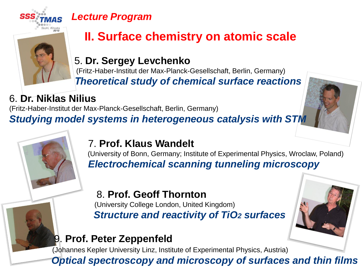

# **II. Surface chemistry on atomic scale**

5. **Dr. Sergey Levchenko** (Fritz-Haber-Institut der Max-Planck-Gesellschaft, Berlin, Germany) *Тheoretical study of chemical surface reactions*

## 6. **Dr. Niklas Nilius**

(Fritz-Haber-Institut der Max-Planck-Gesellschaft, Berlin, Germany)

*Studying model systems in heterogeneous catalysis with STM*

### 7. **Prof. Klaus Wandelt**

(University of Bonn, Germany; Institute of Experimental Physics, Wroclaw, Poland) *Electrochemical scanning tunneling microscopy*

#### 8. **Prof. Geoff Thornton** (University College London, United Kingdom) *Structure and reactivity of TiO2 surfaces*

## 9. **Prof. Peter Zeppenfeld**

(Johannes Kepler University Linz, Institute of Experimental Physics, Austria)

*Optical spectroscopy and microscopy of surfaces and thin films*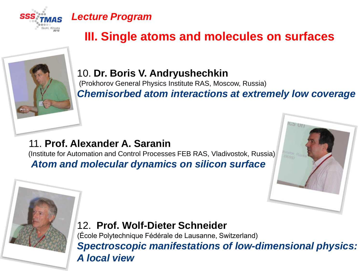



# **III. Single atoms and molecules on surfaces**

#### 10. **Dr. Boris V. Andryushechkin**

(Prokhorov General Physics Institute RAS, Moscow, Russia) *Chemisorbed atom interactions at extremely low coverage*

11. **Prof. Alexander A. Saranin** (Institute for Automation and Control Processes FEB RAS, Vladivostok, Russia) *Atom and molecular dynamics on silicon surface*



### 12. **Prof. Wolf-Dieter Schneider**

(École Polytechnique Fédérale de Lausanne, Switzerland) *Spectroscopic manifestations of low-dimensional physics: A local view*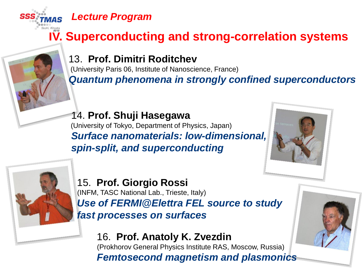

# **IV. Superconducting and strong-correlation systems**

### 13. **Prof. Dimitri Roditchev**

(University Paris 06, Institute of Nanoscience, France) *Quantum phenomena in strongly confined superconductors*

14. **Prof. Shuji Hasegawa** (University of Tokyo, Department of Physics, Japan) *Surface nanomaterials: low-dimensional, spin-split, and superconducting*





15. **Prof. Giorgio Rossi** (INFM, TASC National Lab., Trieste, Italy) *Use of FERMI@Elettra FEL source to study fast processes on surfaces*

## 16. **Prof. Anatoly K. Zvezdin**

(Prokhorov General Physics Institute RAS, Moscow, Russia) *Femtosecond magnetism and plasmonics*